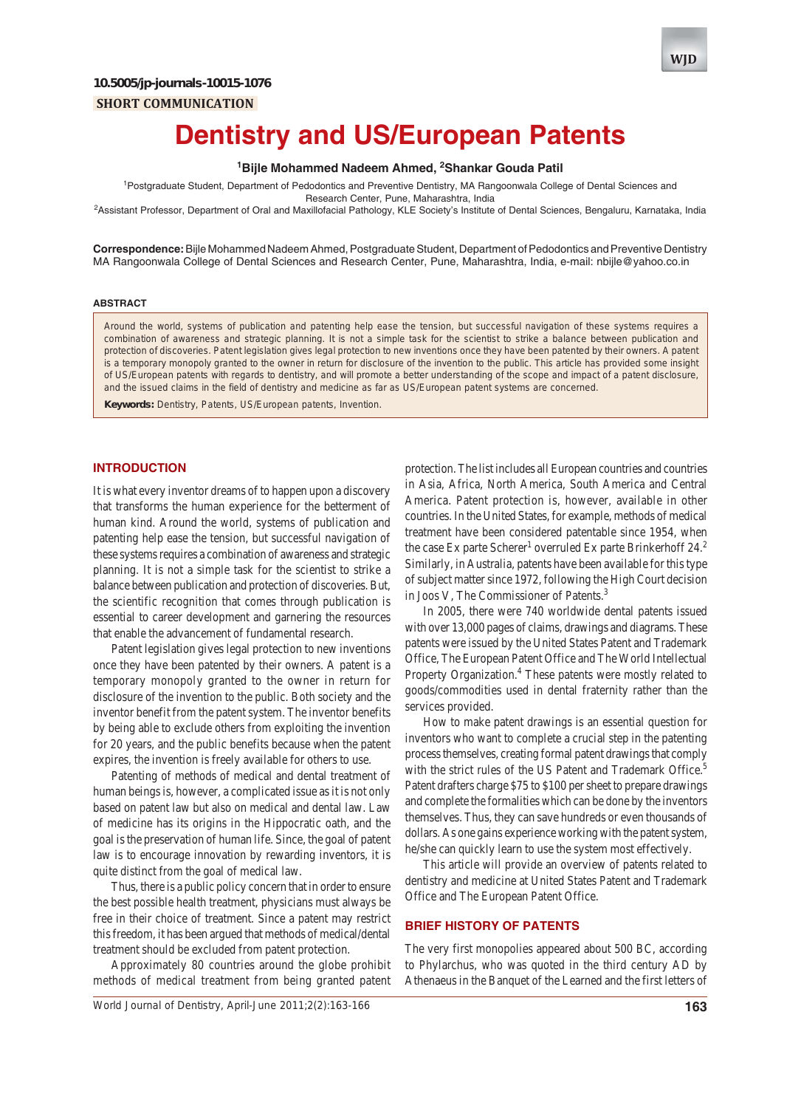**SHORT COMMUNICATION**



# **Dentistry and US/European Patents**

## <sup>1</sup>Bijle Mohammed Nadeem Ahmed, <sup>2</sup>Shankar Gouda Patil

<sup>1</sup>Postgraduate Student, Department of Pedodontics and Preventive Dentistry, MA Rangoonwala College of Dental Sciences and Research Center, Pune, Maharashtra, India

2 Assistant Professor, Department of Oral and Maxillofacial Pathology, KLE Society's Institute of Dental Sciences, Bengaluru, Karnataka, India

**Correspondence:** Bijle Mohammed Nadeem Ahmed, Postgraduate Student, Department of Pedodontics and Preventive Dentistry MA Rangoonwala College of Dental Sciences and Research Center, Pune, Maharashtra, India, e-mail: nbijle@yahoo.co.in

#### **ABSTRACT**

Around the world, systems of publication and patenting help ease the tension, but successful navigation of these systems requires a combination of awareness and strategic planning. It is not a simple task for the scientist to strike a balance between publication and protection of discoveries. Patent legislation gives legal protection to new inventions once they have been patented by their owners. A patent is a temporary monopoly granted to the owner in return for disclosure of the invention to the public. This article has provided some insight of US/European patents with regards to dentistry, and will promote a better understanding of the scope and impact of a patent disclosure, and the issued claims in the field of dentistry and medicine as far as US/European patent systems are concerned.

**Keywords:** Dentistry, Patents, US/European patents, Invention.

#### **INTRODUCTION**

It is what every inventor dreams of to happen upon a discovery that transforms the human experience for the betterment of human kind. Around the world, systems of publication and patenting help ease the tension, but successful navigation of these systems requires a combination of awareness and strategic planning. It is not a simple task for the scientist to strike a balance between publication and protection of discoveries. But, the scientific recognition that comes through publication is essential to career development and garnering the resources that enable the advancement of fundamental research.

Patent legislation gives legal protection to new inventions once they have been patented by their owners. A patent is a temporary monopoly granted to the owner in return for disclosure of the invention to the public. Both society and the inventor benefit from the patent system. The inventor benefits by being able to exclude others from exploiting the invention for 20 years, and the public benefits because when the patent expires, the invention is freely available for others to use.

Patenting of methods of medical and dental treatment of human beings is, however, a complicated issue as it is not only based on patent law but also on medical and dental law. Law of medicine has its origins in the Hippocratic oath, and the goal is the preservation of human life. Since, the goal of patent law is to encourage innovation by rewarding inventors, it is quite distinct from the goal of medical law.

Thus, there is a public policy concern that in order to ensure the best possible health treatment, physicians must always be free in their choice of treatment. Since a patent may restrict this freedom, it has been argued that methods of medical/dental treatment should be excluded from patent protection.

Approximately 80 countries around the globe prohibit methods of medical treatment from being granted patent

protection. The list includes all European countries and countries in Asia, Africa, North America, South America and Central America. Patent protection is, however, available in other countries. In the United States, for example, methods of medical treatment have been considered patentable since 1954, when the case Ex parte Scherer<sup>1</sup> overruled Ex parte Brinkerhoff  $24.2$ Similarly, in Australia, patents have been available for this type of subject matter since 1972, following the High Court decision in Joos V, The Commissioner of Patents.<sup>3</sup>

In 2005, there were 740 worldwide dental patents issued with over 13,000 pages of claims, drawings and diagrams. These patents were issued by the United States Patent and Trademark Office, The European Patent Office and The World Intellectual Property Organization.<sup>4</sup> These patents were mostly related to goods/commodities used in dental fraternity rather than the services provided.

How to make patent drawings is an essential question for inventors who want to complete a crucial step in the patenting process themselves, creating formal patent drawings that comply with the strict rules of the US Patent and Trademark Office.<sup>5</sup> Patent drafters charge \$75 to \$100 per sheet to prepare drawings and complete the formalities which can be done by the inventors themselves. Thus, they can save hundreds or even thousands of dollars. As one gains experience working with the patent system, he/she can quickly learn to use the system most effectively.

This article will provide an overview of patents related to dentistry and medicine at United States Patent and Trademark Office and The European Patent Office.

#### **BRIEF HISTORY OF PATENTS**

The very first monopolies appeared about 500 BC, according to Phylarchus, who was quoted in the third century AD by Athenaeus in the Banquet of the Learned and the first letters of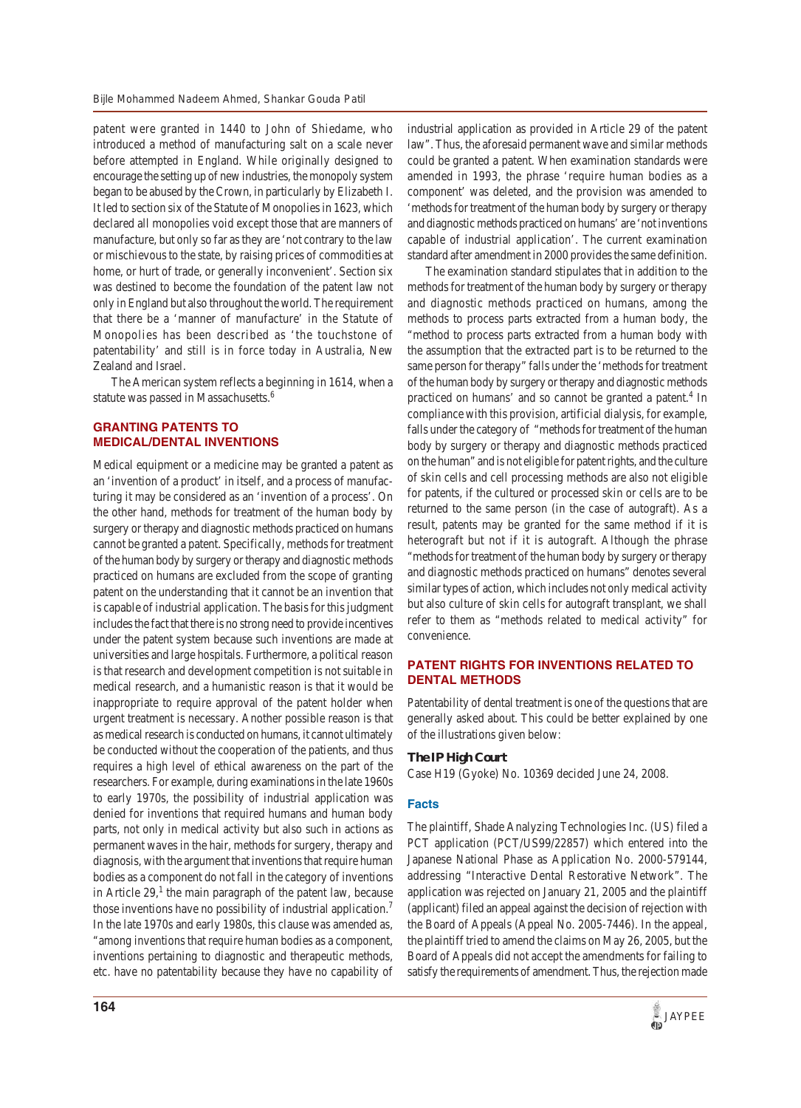patent were granted in 1440 to John of Shiedame, who introduced a method of manufacturing salt on a scale never before attempted in England. While originally designed to encourage the setting up of new industries, the monopoly system began to be abused by the Crown, in particularly by Elizabeth I. It led to section six of the Statute of Monopolies in 1623, which declared all monopolies void except those that are manners of manufacture, but only so far as they are 'not contrary to the law or mischievous to the state, by raising prices of commodities at home, or hurt of trade, or generally inconvenient'. Section six was destined to become the foundation of the patent law not only in England but also throughout the world. The requirement that there be a 'manner of manufacture' in the Statute of Monopolies has been described as 'the touchstone of patentability' and still is in force today in Australia, New Zealand and Israel.

The American system reflects a beginning in 1614, when a statute was passed in Massachusetts.<sup>6</sup>

## **GRANTING PATENTS TO MEDICAL/DENTAL INVENTIONS**

Medical equipment or a medicine may be granted a patent as an 'invention of a product' in itself, and a process of manufacturing it may be considered as an 'invention of a process'. On the other hand, methods for treatment of the human body by surgery or therapy and diagnostic methods practiced on humans cannot be granted a patent. Specifically, methods for treatment of the human body by surgery or therapy and diagnostic methods practiced on humans are excluded from the scope of granting patent on the understanding that it cannot be an invention that is capable of industrial application. The basis for this judgment includes the fact that there is no strong need to provide incentives under the patent system because such inventions are made at universities and large hospitals. Furthermore, a political reason is that research and development competition is not suitable in medical research, and a humanistic reason is that it would be inappropriate to require approval of the patent holder when urgent treatment is necessary. Another possible reason is that as medical research is conducted on humans, it cannot ultimately be conducted without the cooperation of the patients, and thus requires a high level of ethical awareness on the part of the researchers. For example, during examinations in the late 1960s to early 1970s, the possibility of industrial application was denied for inventions that required humans and human body parts, not only in medical activity but also such in actions as permanent waves in the hair, methods for surgery, therapy and diagnosis, with the argument that inventions that require human bodies as a component do not fall in the category of inventions in Article  $29$ ,<sup>1</sup> the main paragraph of the patent law, because those inventions have no possibility of industrial application.<sup>7</sup> In the late 1970s and early 1980s, this clause was amended as, "among inventions that require human bodies as a component, inventions pertaining to diagnostic and therapeutic methods, etc. have no patentability because they have no capability of industrial application as provided in Article 29 of the patent law". Thus, the aforesaid permanent wave and similar methods could be granted a patent. When examination standards were amended in 1993, the phrase 'require human bodies as a component' was deleted, and the provision was amended to 'methods for treatment of the human body by surgery or therapy and diagnostic methods practiced on humans' are 'not inventions capable of industrial application'. The current examination standard after amendment in 2000 provides the same definition.

The examination standard stipulates that in addition to the methods for treatment of the human body by surgery or therapy and diagnostic methods practiced on humans, among the methods to process parts extracted from a human body, the "method to process parts extracted from a human body with the assumption that the extracted part is to be returned to the same person for therapy" falls under the 'methods for treatment of the human body by surgery or therapy and diagnostic methods practiced on humans' and so cannot be granted a patent.<sup>4</sup> In compliance with this provision, artificial dialysis, for example, falls under the category of "methods for treatment of the human body by surgery or therapy and diagnostic methods practiced on the human" and is not eligible for patent rights, and the culture of skin cells and cell processing methods are also not eligible for patents, if the cultured or processed skin or cells are to be returned to the same person (in the case of autograft). As a result, patents may be granted for the same method if it is heterograft but not if it is autograft. Although the phrase "methods for treatment of the human body by surgery or therapy and diagnostic methods practiced on humans" denotes several similar types of action, which includes not only medical activity but also culture of skin cells for autograft transplant, we shall refer to them as "methods related to medical activity" for convenience.

## **PATENT RIGHTS FOR INVENTIONS RELATED TO DENTAL METHODS**

Patentability of dental treatment is one of the questions that are generally asked about. This could be better explained by one of the illustrations given below:

#### **The IP High Court**

Case H19 (Gyoke) No. 10369 decided June 24, 2008.

#### **Facts**

The plaintiff, Shade Analyzing Technologies Inc. (US) filed a PCT application (PCT/US99/22857) which entered into the Japanese National Phase as Application No. 2000-579144, addressing "Interactive Dental Restorative Network". The application was rejected on January 21, 2005 and the plaintiff (applicant) filed an appeal against the decision of rejection with the Board of Appeals (Appeal No. 2005-7446). In the appeal, the plaintiff tried to amend the claims on May 26, 2005, but the Board of Appeals did not accept the amendments for failing to satisfy the requirements of amendment. Thus, the rejection made

*JAYPEE*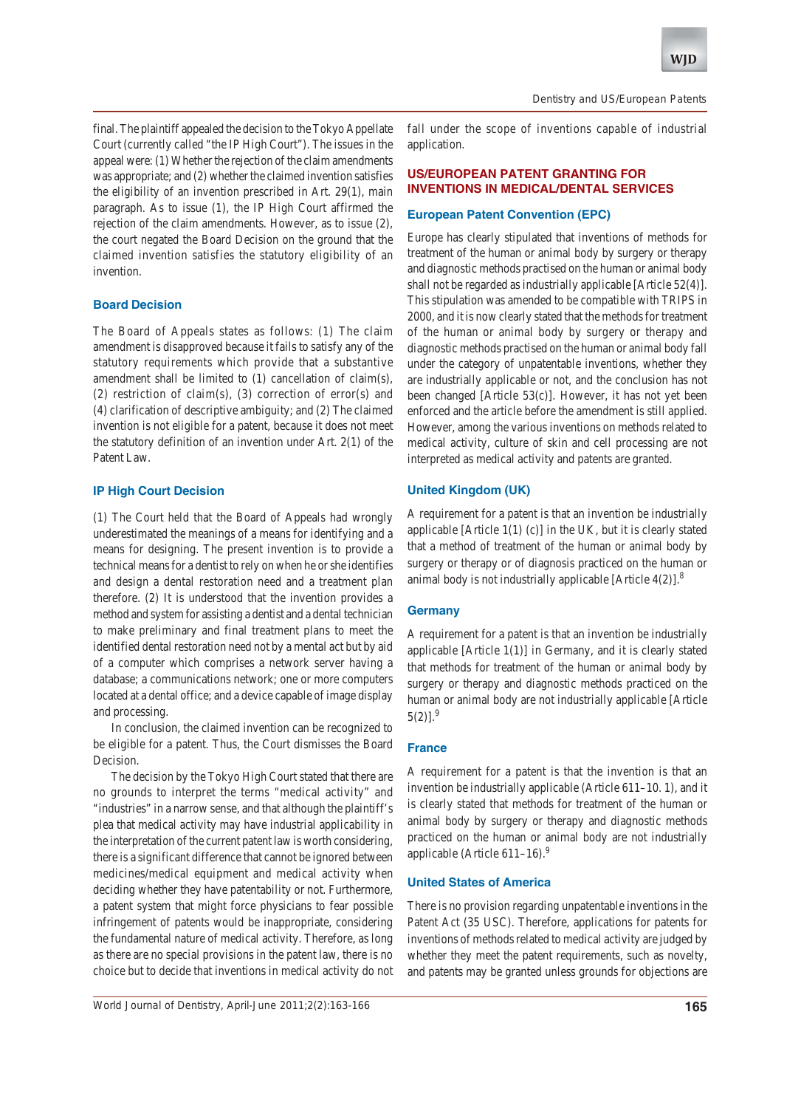**WJD**

final. The plaintiff appealed the decision to the Tokyo Appellate Court (currently called "the IP High Court"). The issues in the appeal were: (1) Whether the rejection of the claim amendments was appropriate; and (2) whether the claimed invention satisfies the eligibility of an invention prescribed in Art. 29(1), main paragraph. As to issue (1), the IP High Court affirmed the rejection of the claim amendments. However, as to issue (2), the court negated the Board Decision on the ground that the claimed invention satisfies the statutory eligibility of an invention.

#### **Board Decision**

The Board of Appeals states as follows: (1) The claim amendment is disapproved because it fails to satisfy any of the statutory requirements which provide that a substantive amendment shall be limited to (1) cancellation of claim(s), (2) restriction of claim(s), (3) correction of error(s) and (4) clarification of descriptive ambiguity; and (2) The claimed invention is not eligible for a patent, because it does not meet the statutory definition of an invention under Art. 2(1) of the Patent Law.

## **IP High Court Decision**

(1) The Court held that the Board of Appeals had wrongly underestimated the meanings of a means for identifying and a means for designing. The present invention is to provide a technical means for a dentist to rely on when he or she identifies and design a dental restoration need and a treatment plan therefore. (2) It is understood that the invention provides a method and system for assisting a dentist and a dental technician to make preliminary and final treatment plans to meet the identified dental restoration need not by a mental act but by aid of a computer which comprises a network server having a database; a communications network; one or more computers located at a dental office; and a device capable of image display and processing.

In conclusion, the claimed invention can be recognized to be eligible for a patent. Thus, the Court dismisses the Board Decision.

The decision by the Tokyo High Court stated that there are no grounds to interpret the terms "medical activity" and "industries" in a narrow sense, and that although the plaintiff's plea that medical activity may have industrial applicability in the interpretation of the current patent law is worth considering, there is a significant difference that cannot be ignored between medicines/medical equipment and medical activity when deciding whether they have patentability or not. Furthermore, a patent system that might force physicians to fear possible infringement of patents would be inappropriate, considering the fundamental nature of medical activity. Therefore, as long as there are no special provisions in the patent law, there is no choice but to decide that inventions in medical activity do not

fall under the scope of inventions capable of industrial application.

# **US/EUROPEAN PATENT GRANTING FOR INVENTIONS IN MEDICAL/DENTAL SERVICES**

#### **European Patent Convention (EPC)**

Europe has clearly stipulated that inventions of methods for treatment of the human or animal body by surgery or therapy and diagnostic methods practised on the human or animal body shall not be regarded as industrially applicable [Article 52(4)]. This stipulation was amended to be compatible with TRIPS in 2000, and it is now clearly stated that the methods for treatment of the human or animal body by surgery or therapy and diagnostic methods practised on the human or animal body fall under the category of unpatentable inventions, whether they are industrially applicable or not, and the conclusion has not been changed [Article 53(c)]. However, it has not yet been enforced and the article before the amendment is still applied. However, among the various inventions on methods related to medical activity, culture of skin and cell processing are not interpreted as medical activity and patents are granted.

## **United Kingdom (UK)**

A requirement for a patent is that an invention be industrially applicable [Article  $1(1)$  (c)] in the UK, but it is clearly stated that a method of treatment of the human or animal body by surgery or therapy or of diagnosis practiced on the human or animal body is not industrially applicable [Article  $4(2)$ ].<sup>8</sup>

## **Germany**

A requirement for a patent is that an invention be industrially applicable [Article 1(1)] in Germany, and it is clearly stated that methods for treatment of the human or animal body by surgery or therapy and diagnostic methods practiced on the human or animal body are not industrially applicable [Article  $5(2)$ ].<sup>9</sup>

## **France**

A requirement for a patent is that the invention is that an invention be industrially applicable (Article 611–10. 1), and it is clearly stated that methods for treatment of the human or animal body by surgery or therapy and diagnostic methods practiced on the human or animal body are not industrially applicable (Article  $611-16$ ).<sup>9</sup>

## **United States of America**

There is no provision regarding unpatentable inventions in the Patent Act (35 USC). Therefore, applications for patents for inventions of methods related to medical activity are judged by whether they meet the patent requirements, such as novelty, and patents may be granted unless grounds for objections are